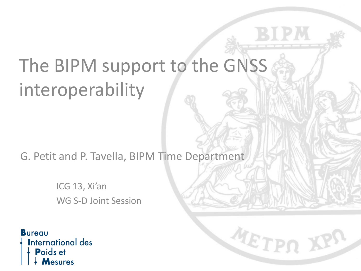# The BIPM support to the GNSS interoperability

G. Petit and P. Tavella, BIPM Time Department

METPO J

ICG 13, Xi'an WG S-D Joint Session

**Bureau International des** Poids et lesures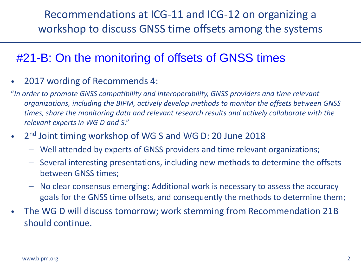#### #21-B: On the monitoring of offsets of GNSS times

- 2017 wording of Recommends 4:
- "*In order to promote GNSS compatibility and interoperability, GNSS providers and time relevant organizations, including the BIPM, actively develop methods to monitor the offsets between GNSS times, share the monitoring data and relevant research results and actively collaborate with the relevant experts in WG D and S*."
- 2<sup>nd</sup> Joint timing workshop of WG S and WG D: 20 June 2018
	- Well attended by experts of GNSS providers and time relevant organizations;
	- Several interesting presentations, including new methods to determine the offsets between GNSS times;
	- No clear consensus emerging: Additional work is necessary to assess the accuracy goals for the GNSS time offsets, and consequently the methods to determine them;
- The WG D will discuss tomorrow; work stemming from Recommendation 21B should continue.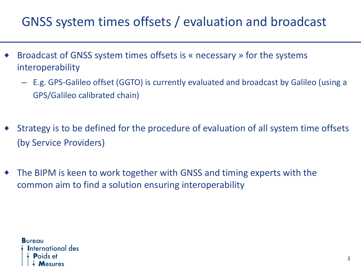### GNSS system times offsets / evaluation and broadcast

- Broadcast of GNSS system times offsets is « necessary » for the systems interoperability
	- E.g. GPS-Galileo offset (GGTO) is currently evaluated and broadcast by Galileo (using a GPS/Galileo calibrated chain)
- Strategy is to be defined for the procedure of evaluation of all system time offsets (by Service Providers)
- The BIPM is keen to work together with GNSS and timing experts with the common aim to find a solution ensuring interoperability

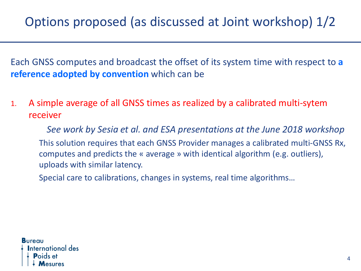Each GNSS computes and broadcast the offset of its system time with respect to **a reference adopted by convention** which can be

1. A simple average of all GNSS times as realized by a calibrated multi-sytem receiver

*See work by Sesia et al. and ESA presentations at the June 2018 workshop* This solution requires that each GNSS Provider manages a calibrated multi-GNSS Rx, computes and predicts the « average » with identical algorithm (e.g. outliers), uploads with similar latency.

Special care to calibrations, changes in systems, real time algorithms…

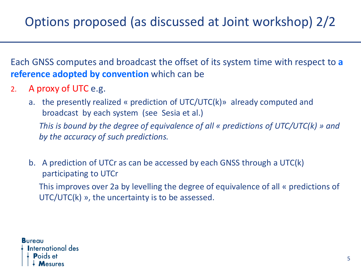Each GNSS computes and broadcast the offset of its system time with respect to **a reference adopted by convention** which can be

- 2. A proxy of UTC e.g.
	- a. the presently realized « prediction of UTC/UTC(k)» already computed and broadcast by each system (see Sesia et al.)

*This is bound by the degree of equivalence of all « predictions of UTC/UTC(k) » and by the accuracy of such predictions.*

b. A prediction of UTCr as can be accessed by each GNSS through a UTC(k) participating to UTCr

This improves over 2a by levelling the degree of equivalence of all « predictions of UTC/UTC(k) », the uncertainty is to be assessed.

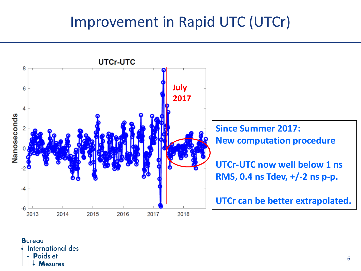## Improvement in Rapid UTC (UTCr)



**Bureau International des Poids et Mesures**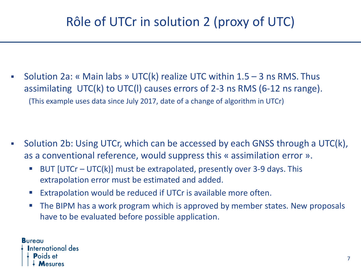▪ Solution 2a: « Main labs » UTC(k) realize UTC within 1.5 – 3 ns RMS. Thus assimilating UTC(k) to UTC(l) causes errors of 2-3 ns RMS (6-12 ns range). (This example uses data since July 2017, date of a change of algorithm in UTCr)

- Solution 2b: Using UTCr, which can be accessed by each GNSS through a UTC(k), as a conventional reference, would suppress this « assimilation error ».
	- BUT  $[UTCr UTC(k)]$  must be extrapolated, presently over 3-9 days. This extrapolation error must be estimated and added.
	- Extrapolation would be reduced if UTCr is available more often.
	- The BIPM has a work program which is approved by member states. New proposals have to be evaluated before possible application.

**Bureau International des**